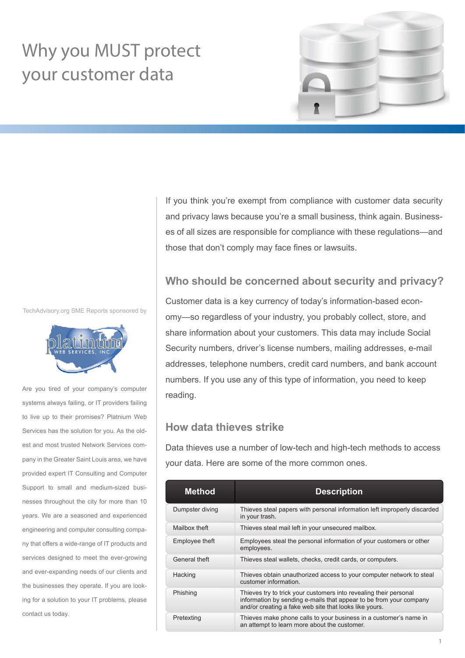# Why you MUST protect your customer data



TechAdvisory.org SME Reports sponsored by



Are you tired of your company's computer systems always failing, or IT providers failing to live up to their promises? Platnium Web Services has the solution for you. As the oldest and most trusted Network Services company in the Greater Saint Louis area, we have provided expert IT Consulting and Computer Support to small and medium-sized businesses throughout the city for more than 10 years. We are a seasoned and experienced engineering and computer consulting company that offers a wide-range of IT products and services designed to meet the ever-growing and ever-expanding needs of our clients and the businesses they operate. If you are looking for a solution to your IT problems, please contact us today.

If you think you're exempt from compliance with customer data security and privacy laws because you're a small business, think again. Businesses of all sizes are responsible for compliance with these regulations—and those that don't comply may face fines or lawsuits.

### **Who should be concerned about security and privacy?**

Customer data is a key currency of today's information-based economy—so regardless of your industry, you probably collect, store, and share information about your customers. This data may include Social Security numbers, driver's license numbers, mailing addresses, e-mail addresses, telephone numbers, credit card numbers, and bank account numbers. If you use any of this type of information, you need to keep reading.

# **How data thieves strike**

Data thieves use a number of low-tech and high-tech methods to access your data. Here are some of the more common ones.

| Method          | <b>Description</b>                                                                                                                                                                                |
|-----------------|---------------------------------------------------------------------------------------------------------------------------------------------------------------------------------------------------|
| Dumpster diving | Thieves steal papers with personal information left improperly discarded<br>in your trash.                                                                                                        |
| Mailbox theft   | Thieves steal mail left in your unsecured mailbox.                                                                                                                                                |
| Employee theft  | Employees steal the personal information of your customers or other<br>employees.                                                                                                                 |
| General theft   | Thieves steal wallets, checks, credit cards, or computers.                                                                                                                                        |
| Hacking         | Thieves obtain unauthorized access to your computer network to steal<br>customer information.                                                                                                     |
| Phishing        | Thieves try to trick your customers into revealing their personal<br>information by sending e-mails that appear to be from your company<br>and/or creating a fake web site that looks like yours. |
| Pretexting      | Thieves make phone calls to your business in a customer's name in<br>an attempt to learn more about the customer.                                                                                 |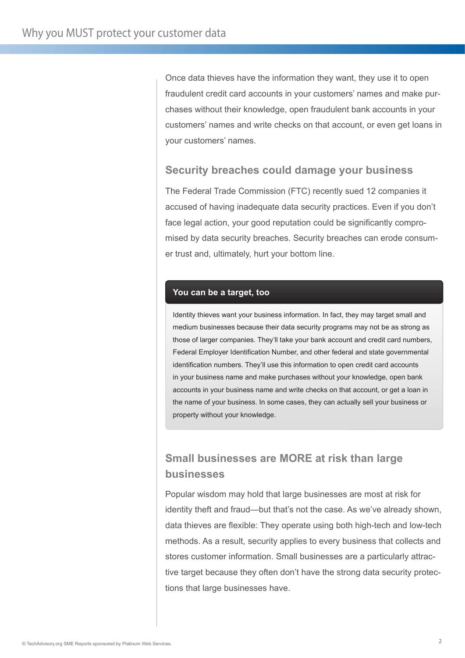Once data thieves have the information they want, they use it to open fraudulent credit card accounts in your customers' names and make purchases without their knowledge, open fraudulent bank accounts in your customers' names and write checks on that account, or even get loans in your customers' names.

# **Security breaches could damage your business**

The Federal Trade Commission (FTC) recently sued 12 companies it accused of having inadequate data security practices. Even if you don't face legal action, your good reputation could be significantly compromised by data security breaches. Security breaches can erode consumer trust and, ultimately, hurt your bottom line.

#### **You can be a target, too**

Identity thieves want your business information. In fact, they may target small and medium businesses because their data security programs may not be as strong as those of larger companies. They'll take your bank account and credit card numbers, Federal Employer Identification Number, and other federal and state governmental identification numbers. They'll use this information to open credit card accounts in your business name and make purchases without your knowledge, open bank accounts in your business name and write checks on that account, or get a loan in the name of your business. In some cases, they can actually sell your business or property without your knowledge.

# **Small businesses are MORE at risk than large businesses**

Popular wisdom may hold that large businesses are most at risk for identity theft and fraud—but that's not the case. As we've already shown, data thieves are flexible: They operate using both high-tech and low-tech methods. As a result, security applies to every business that collects and stores customer information. Small businesses are a particularly attractive target because they often don't have the strong data security protections that large businesses have.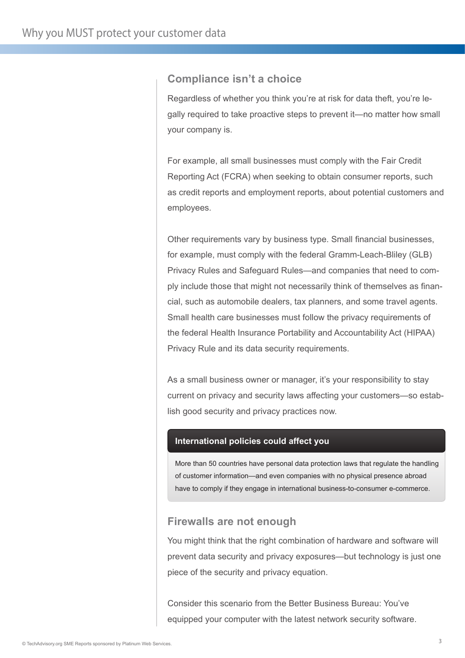# **Compliance isn't a choice**

Regardless of whether you think you're at risk for data theft, you're legally required to take proactive steps to prevent it—no matter how small your company is.

For example, all small businesses must comply with the Fair Credit Reporting Act (FCRA) when seeking to obtain consumer reports, such as credit reports and employment reports, about potential customers and employees.

Other requirements vary by business type. Small financial businesses, for example, must comply with the federal Gramm-Leach-Bliley (GLB) Privacy Rules and Safeguard Rules—and companies that need to comply include those that might not necessarily think of themselves as financial, such as automobile dealers, tax planners, and some travel agents. Small health care businesses must follow the privacy requirements of the federal Health Insurance Portability and Accountability Act (HIPAA) Privacy Rule and its data security requirements.

As a small business owner or manager, it's your responsibility to stay current on privacy and security laws affecting your customers—so establish good security and privacy practices now.

#### **International policies could affect you**

More than 50 countries have personal data protection laws that regulate the handling of customer information—and even companies with no physical presence abroad have to comply if they engage in international business-to-consumer e-commerce.

#### **Firewalls are not enough**

You might think that the right combination of hardware and software will prevent data security and privacy exposures—but technology is just one piece of the security and privacy equation.

Consider this scenario from the Better Business Bureau: You've equipped your computer with the latest network security software.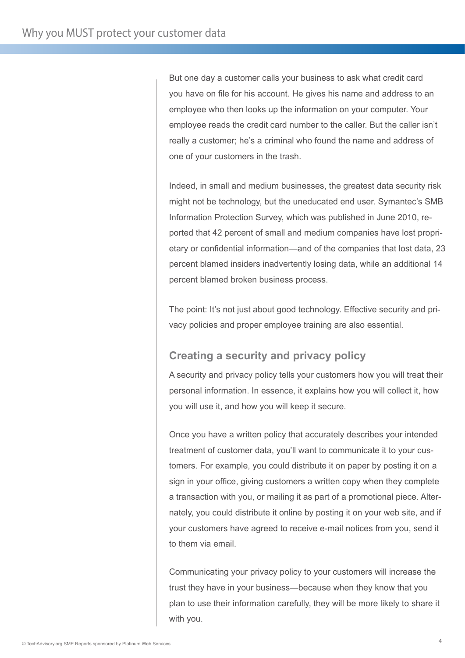But one day a customer calls your business to ask what credit card you have on file for his account. He gives his name and address to an employee who then looks up the information on your computer. Your employee reads the credit card number to the caller. But the caller isn't really a customer; he's a criminal who found the name and address of one of your customers in the trash.

Indeed, in small and medium businesses, the greatest data security risk might not be technology, but the uneducated end user. Symantec's SMB Information Protection Survey, which was published in June 2010, reported that 42 percent of small and medium companies have lost proprietary or confidential information—and of the companies that lost data, 23 percent blamed insiders inadvertently losing data, while an additional 14 percent blamed broken business process.

The point: It's not just about good technology. Effective security and privacy policies and proper employee training are also essential.

# **Creating a security and privacy policy**

A security and privacy policy tells your customers how you will treat their personal information. In essence, it explains how you will collect it, how you will use it, and how you will keep it secure.

Once you have a written policy that accurately describes your intended treatment of customer data, you'll want to communicate it to your customers. For example, you could distribute it on paper by posting it on a sign in your office, giving customers a written copy when they complete a transaction with you, or mailing it as part of a promotional piece. Alternately, you could distribute it online by posting it on your web site, and if your customers have agreed to receive e-mail notices from you, send it to them via email.

Communicating your privacy policy to your customers will increase the trust they have in your business—because when they know that you plan to use their information carefully, they will be more likely to share it with you.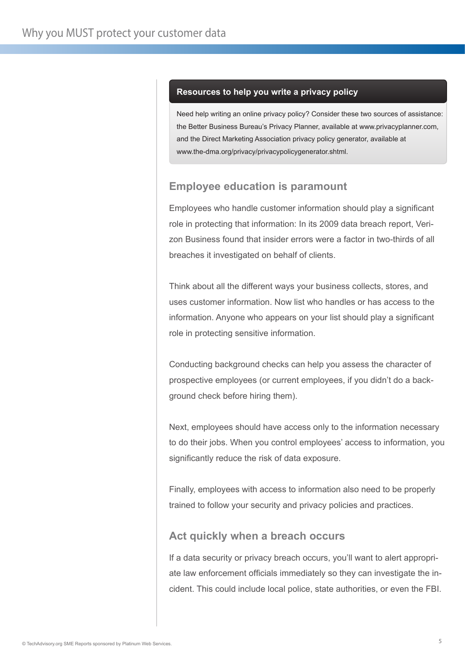#### **Resources to help you write a privacy policy**

Need help writing an online privacy policy? Consider these two sources of assistance: the Better Business Bureau's Privacy Planner, available at www.privacyplanner.com, and the Direct Marketing Association privacy policy generator, available at www.the-dma.org/privacy/privacypolicygenerator.shtml.

# **Employee education is paramount**

Employees who handle customer information should play a significant role in protecting that information: In its 2009 data breach report, Verizon Business found that insider errors were a factor in two-thirds of all breaches it investigated on behalf of clients.

Think about all the different ways your business collects, stores, and uses customer information. Now list who handles or has access to the information. Anyone who appears on your list should play a significant role in protecting sensitive information.

Conducting background checks can help you assess the character of prospective employees (or current employees, if you didn't do a background check before hiring them).

Next, employees should have access only to the information necessary to do their jobs. When you control employees' access to information, you significantly reduce the risk of data exposure.

Finally, employees with access to information also need to be properly trained to follow your security and privacy policies and practices.

# **Act quickly when a breach occurs**

If a data security or privacy breach occurs, you'll want to alert appropriate law enforcement officials immediately so they can investigate the incident. This could include local police, state authorities, or even the FBI.